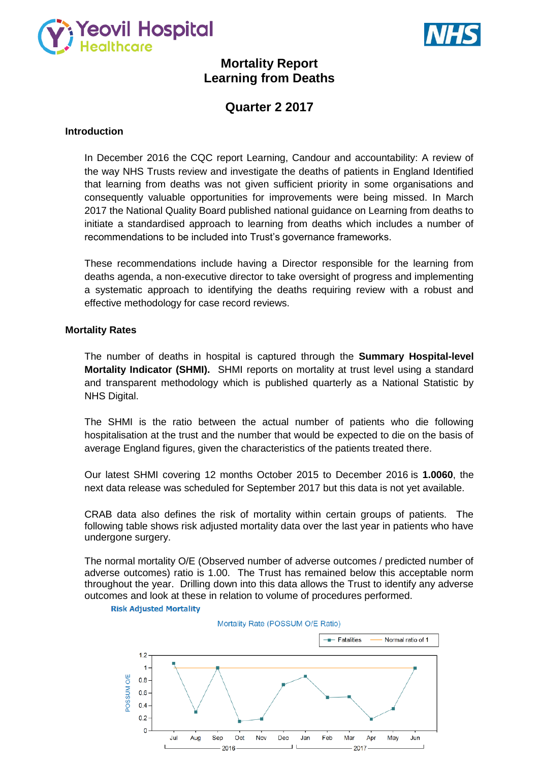



# **Mortality Report Learning from Deaths**

# **Quarter 2 2017**

### **Introduction**

In December 2016 the CQC report Learning, Candour and accountability: A review of the way NHS Trusts review and investigate the deaths of patients in England Identified that learning from deaths was not given sufficient priority in some organisations and consequently valuable opportunities for improvements were being missed. In March 2017 the National Quality Board published national guidance on Learning from deaths to initiate a standardised approach to learning from deaths which includes a number of recommendations to be included into Trust's governance frameworks.

These recommendations include having a Director responsible for the learning from deaths agenda, a non-executive director to take oversight of progress and implementing a systematic approach to identifying the deaths requiring review with a robust and effective methodology for case record reviews.

### **Mortality Rates**

The number of deaths in hospital is captured through the **Summary Hospital-level Mortality Indicator (SHMI).** SHMI reports on mortality at trust level using a standard and transparent methodology which is published quarterly as a National Statistic by NHS Digital.

The SHMI is the ratio between the actual number of patients who die following hospitalisation at the trust and the number that would be expected to die on the basis of average England figures, given the characteristics of the patients treated there.

Our latest SHMI covering 12 months October 2015 to December 2016 is **1.0060**, the next data release was scheduled for September 2017 but this data is not yet available.

CRAB data also defines the risk of mortality within certain groups of patients. The following table shows risk adjusted mortality data over the last year in patients who have undergone surgery.

The normal mortality O/E (Observed number of adverse outcomes / predicted number of adverse outcomes) ratio is 1.00. The Trust has remained below this acceptable norm throughout the year. Drilling down into this data allows the Trust to identify any adverse outcomes and look at these in relation to volume of procedures performed.

#### **Risk Adjusted Mortality**

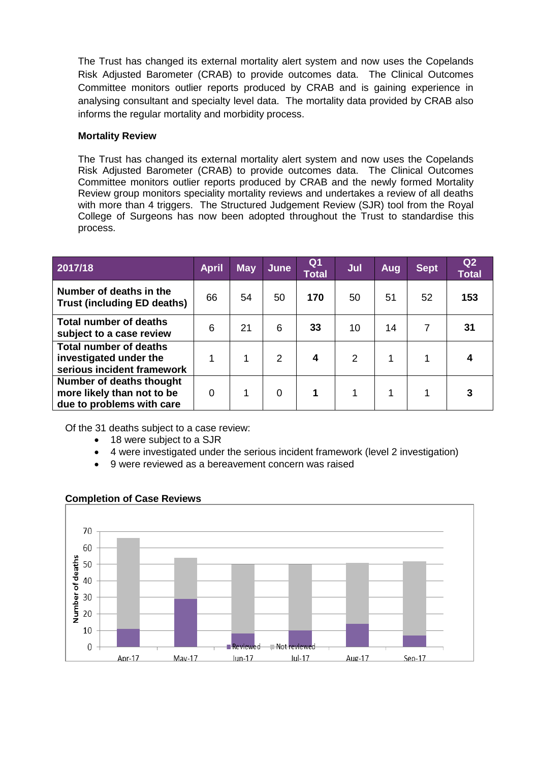The Trust has changed its external mortality alert system and now uses the Copelands Risk Adjusted Barometer (CRAB) to provide outcomes data. The Clinical Outcomes Committee monitors outlier reports produced by CRAB and is gaining experience in analysing consultant and specialty level data. The mortality data provided by CRAB also informs the regular mortality and morbidity process.

# **Mortality Review**

The Trust has changed its external mortality alert system and now uses the Copelands Risk Adjusted Barometer (CRAB) to provide outcomes data. The Clinical Outcomes Committee monitors outlier reports produced by CRAB and the newly formed Mortality Review group monitors speciality mortality reviews and undertakes a review of all deaths with more than 4 triggers. The Structured Judgement Review (SJR) tool from the Royal College of Surgeons has now been adopted throughout the Trust to standardise this process.

| 2017/18                                                                               | <b>April</b> | <b>May</b> | June     | Q1<br><b>Total</b> | Jul | Aug | <b>Sept</b> | Q <sub>2</sub><br><b>Total</b> |
|---------------------------------------------------------------------------------------|--------------|------------|----------|--------------------|-----|-----|-------------|--------------------------------|
| Number of deaths in the<br><b>Trust (including ED deaths)</b>                         | 66           | 54         | 50       | 170                | 50  | 51  | 52          | 153                            |
| Total number of deaths<br>subject to a case review                                    | 6            | 21         | 6        | 33                 | 10  | 14  | 7           | 31                             |
| <b>Total number of deaths</b><br>investigated under the<br>serious incident framework |              |            | 2        | 4                  | 2   | 1   |             |                                |
| Number of deaths thought<br>more likely than not to be<br>due to problems with care   | $\Omega$     |            | $\Omega$ | 1                  |     | 1   |             |                                |

Of the 31 deaths subject to a case review:

- 18 were subject to a SJR
- 4 were investigated under the serious incident framework (level 2 investigation)
- 9 were reviewed as a bereavement concern was raised



# **Completion of Case Reviews**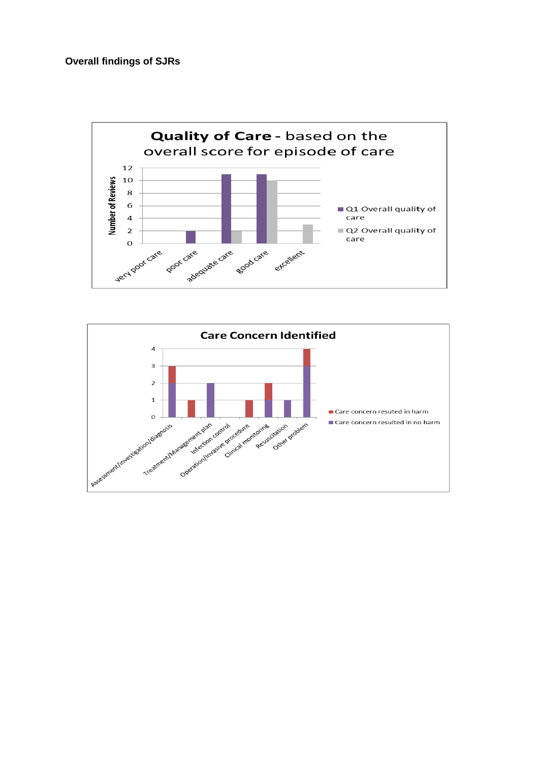